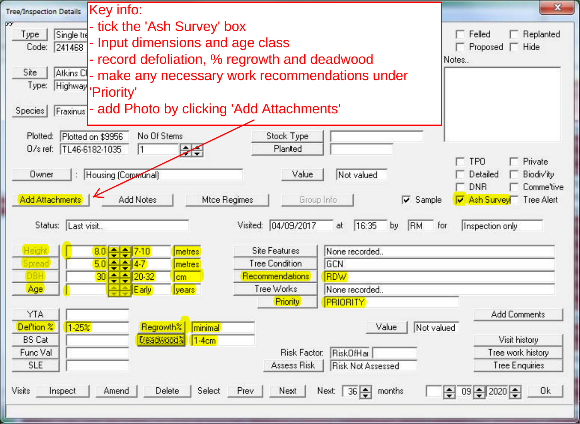| Key info:<br><b>Tree/Inspection Details</b>                                                                                                                                                                                                                                                                                                                                                      | $\mathbf{x}$                               |
|--------------------------------------------------------------------------------------------------------------------------------------------------------------------------------------------------------------------------------------------------------------------------------------------------------------------------------------------------------------------------------------------------|--------------------------------------------|
| 87<br>tick the 'Ash Survey' box                                                                                                                                                                                                                                                                                                                                                                  |                                            |
| Single tre<br>Type<br>- Input dimensions and age class<br>241468<br>Code:                                                                                                                                                                                                                                                                                                                        | Felled<br>Replanted<br>□ Proposed □ Hide   |
| - record defoliation, % regrowth and deadwood                                                                                                                                                                                                                                                                                                                                                    | Notes                                      |
| Site<br>Atkins C<br>- make any necessary work recommendations under                                                                                                                                                                                                                                                                                                                              |                                            |
| Type:<br>Highway                                                                                                                                                                                                                                                                                                                                                                                 |                                            |
| <b>Priority'</b>                                                                                                                                                                                                                                                                                                                                                                                 |                                            |
| - add Photo by clicking 'Add Attachments'<br>Fraxinus<br>Species                                                                                                                                                                                                                                                                                                                                 |                                            |
|                                                                                                                                                                                                                                                                                                                                                                                                  |                                            |
| No Of Stems<br>Stock Type<br>Plotted:<br>Plotted on \$9956<br>D/s ref: TL46-6182-1035<br>Planted<br>I1                                                                                                                                                                                                                                                                                           |                                            |
| ╱                                                                                                                                                                                                                                                                                                                                                                                                | <b>TPO</b><br>Private                      |
| : Housing (Communal)<br>Value<br>Not valued<br>Owner                                                                                                                                                                                                                                                                                                                                             | Detailed<br>Biodiv'ity                     |
|                                                                                                                                                                                                                                                                                                                                                                                                  | <b>DNB</b><br>Comme'tive                   |
| <b>Add Attachments</b><br>Add Notes<br>Mtce Regimes<br>Group Info<br>$\nabla$ Sample                                                                                                                                                                                                                                                                                                             | Ash Survey<br>Tree Alert                   |
|                                                                                                                                                                                                                                                                                                                                                                                                  |                                            |
| Visited: 04/09/2017<br>16:35<br>RM<br>Status: Last visit<br>at<br>by                                                                                                                                                                                                                                                                                                                             | Inspection only<br>for                     |
| Height<br><b>Site Features</b><br>8.0<br>metres<br>None recorded.                                                                                                                                                                                                                                                                                                                                |                                            |
| $=$ $\frac{1}{2}$ $\frac{1}{2}$ $\frac{1}{2}$ $\frac{1}{2}$ $\frac{1}{2}$ $\frac{1}{2}$ $\frac{1}{2}$ $\frac{1}{2}$ $\frac{1}{2}$ $\frac{1}{2}$ $\frac{1}{2}$ $\frac{1}{2}$ $\frac{1}{2}$ $\frac{1}{2}$ $\frac{1}{2}$ $\frac{1}{2}$ $\frac{1}{2}$ $\frac{1}{2}$ $\frac{1}{2}$ $\frac{1}{2}$ $\frac{1}{2}$ $\frac{1}{2$<br>$5.0 - 4.7$<br><b>Tree Condition</b><br>Spread<br><b>GCN</b><br>metres |                                            |
| <b>DBH</b><br>$30 - 32$<br>Recommendations<br><b>RDW</b><br>cm                                                                                                                                                                                                                                                                                                                                   |                                            |
| Tree Works<br>Age<br>None recorded.<br>Early<br><i>vears</i>                                                                                                                                                                                                                                                                                                                                     |                                            |
| <b>Priority</b><br><b>PRIORITY</b>                                                                                                                                                                                                                                                                                                                                                               |                                            |
| <b>YTA</b>                                                                                                                                                                                                                                                                                                                                                                                       | <b>Add Comments</b>                        |
| Regrowth%<br>Def'tion %<br>1.25%<br>minimal<br>Not valued<br>Value                                                                                                                                                                                                                                                                                                                               |                                            |
| f/eadwood?<br><b>BS Cat</b><br>$1-4cm$                                                                                                                                                                                                                                                                                                                                                           | Visit history                              |
| Func Val<br>RiskOfHar<br><b>Risk Factor:</b><br><b>SLE</b><br><b>Risk Not Assessed</b><br>Assess Risk                                                                                                                                                                                                                                                                                            | Tree work history<br><b>Tree Enquiries</b> |
|                                                                                                                                                                                                                                                                                                                                                                                                  |                                            |
| Delete<br>Amend<br>Select<br>Prev<br>Next<br>Visits<br>Inspect<br>Next:<br>months.<br>$36 \div$                                                                                                                                                                                                                                                                                                  | 0k<br>$09 = 2020$<br>÷                     |
|                                                                                                                                                                                                                                                                                                                                                                                                  |                                            |
|                                                                                                                                                                                                                                                                                                                                                                                                  |                                            |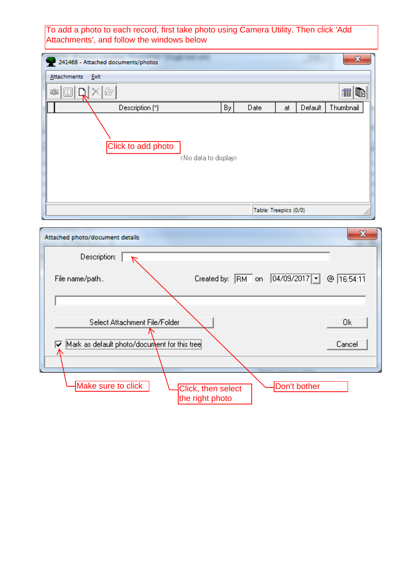To add a photo to each record, first take photo using Camera Utility. Then click 'Add<br>Attachments', and follow the windows below

| 241468 - Attached documents/photos                       |            |                       |         | $\overline{\mathbf{z}}$ |
|----------------------------------------------------------|------------|-----------------------|---------|-------------------------|
| Attachments<br>Exit                                      |            |                       |         |                         |
| a Qay                                                    |            |                       |         | 酣<br>œ                  |
| Description (*)                                          | By<br>Date | at                    | Default | Thumbnail               |
| Click to add photo<br><no data="" display="" to=""></no> |            |                       |         |                         |
|                                                          |            | Table: Treepics (0/0) |         |                         |

| Attached photo/document details                                             | x          |
|-----------------------------------------------------------------------------|------------|
| Description:                                                                |            |
| Created by: RM on 04/09/2017  <br>File name/path                            | @ 16:54:11 |
| Select Attachment File/Folder                                               | 0k         |
| Mark as default photo/document for this tree<br>⊽                           | Cancel     |
| Make sure to click<br>Don't bother<br>Click, then select<br>the right photo |            |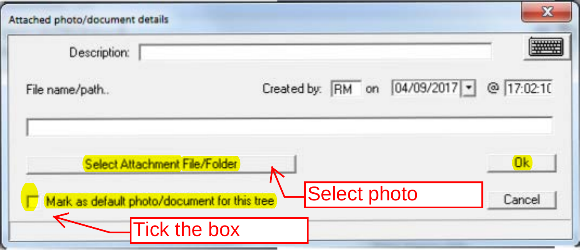